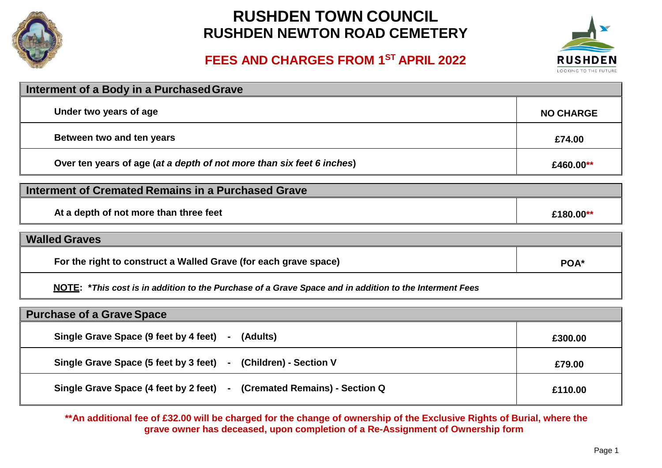

# **RUSHDEN TOWN COUNCIL RUSHDEN NEWTON ROAD CEMETERY**

### **FEES AND CHARGES FROM 1ST APRIL 2022**



| Interment of a Body in a Purchased Grave                              |                  |
|-----------------------------------------------------------------------|------------------|
| Under two years of age                                                | <b>NO CHARGE</b> |
| Between two and ten years                                             | £74.00           |
| Over ten years of age (at a depth of not more than six feet 6 inches) | £460.00**        |

| Interment of Cremated Remains in a Purchased Grave |           |
|----------------------------------------------------|-----------|
| At a depth of not more than three feet             | £180.00** |

| <b>Walled Graves</b>                                                                                   |      |
|--------------------------------------------------------------------------------------------------------|------|
| For the right to construct a Walled Grave (for each grave space)                                       | POA* |
| NOTE: *This seat is in addition to the Dunshape of a Onexa Opean and in addition to the Interment Food |      |

**NOTE: \****This cost is in addition to the Purchase of a Grave Space and in addition to the Interment Fees*

| <b>Purchase of a Grave Space</b>                                       |         |
|------------------------------------------------------------------------|---------|
| Single Grave Space (9 feet by 4 feet) - (Adults)                       | £300.00 |
| Single Grave Space (5 feet by 3 feet) - (Children) - Section V         | £79.00  |
| Single Grave Space (4 feet by 2 feet) - (Cremated Remains) - Section Q | £110.00 |

**\*\*An additional fee of £32.00 will be charged for the change of ownership of the Exclusive Rights of Burial, where the grave owner has deceased, upon completion of a Re-Assignment of Ownership form**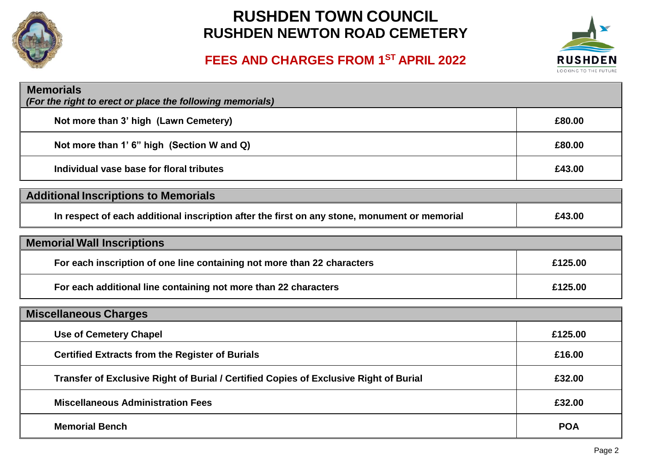

# **RUSHDEN TOWN COUNCIL RUSHDEN NEWTON ROAD CEMETERY**



## **FEES AND CHARGES FROM 1ST APRIL 2022**

| <b>Memorials</b><br>(For the right to erect or place the following memorials)                |            |
|----------------------------------------------------------------------------------------------|------------|
| Not more than 3' high (Lawn Cemetery)                                                        | £80.00     |
| Not more than 1' 6" high (Section W and Q)                                                   | £80.00     |
| Individual vase base for floral tributes                                                     | £43.00     |
| <b>Additional Inscriptions to Memorials</b>                                                  |            |
| In respect of each additional inscription after the first on any stone, monument or memorial | £43.00     |
| <b>Memorial Wall Inscriptions</b>                                                            |            |
| For each inscription of one line containing not more than 22 characters                      | £125.00    |
| For each additional line containing not more than 22 characters                              | £125.00    |
| <b>Miscellaneous Charges</b>                                                                 |            |
| <b>Use of Cemetery Chapel</b>                                                                | £125.00    |
| <b>Certified Extracts from the Register of Burials</b>                                       | £16.00     |
| Transfer of Exclusive Right of Burial / Certified Copies of Exclusive Right of Burial        | £32.00     |
| <b>Miscellaneous Administration Fees</b>                                                     | £32.00     |
| <b>Memorial Bench</b>                                                                        | <b>POA</b> |